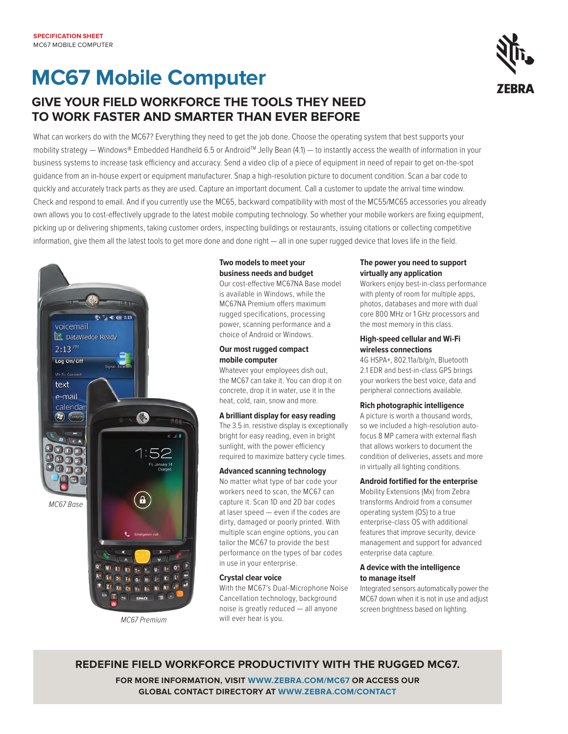# **MC67 Mobile Computer**

## **GIVE YOUR FIELD WORKFORCE THE TOOLS THEY NEED TO WORK FASTER AND SMARTER THAN EVER BEFORE**

What can workers do with the MC67? Everything they need to get the job done. Choose the operating system that best supports your mobility strategy — Windows® Embedded Handheld 6.5 or Android™ Jelly Bean (4.1) — to instantly access the wealth of information in your business systems to increase task efficiency and accuracy. Send a video clip of a piece of equipment in need of repair to get on-the-spot guidance from an in-house expert or equipment manufacturer. Snap a high-resolution picture to document condition. Scan a bar code to quickly and accurately track parts as they are used. Capture an important document. Call a customer to update the arrival time window. Check and respond to email. And if you currently use the MC65, backward compatibility with most of the MC55/MC65 accessories you already own allows you to cost-effectively upgrade to the latest mobile computing technology. So whether your mobile workers are fixing equipment, picking up or delivering shipments, taking customer orders, inspecting buildings or restaurants, issuing citations or collecting competitive information, give them all the latest tools to get more done and done right — all in one super rugged device that loves life in the field.



### **Two models to meet your business needs and budget**

Our cost-effective MC67NA Base model is available in Windows, while the MC67NA Premium offers maximum rugged specifications, processing power, scanning performance and a choice of Android or Windows.

#### **Our most rugged compact mobile computer**

Whatever your employees dish out, the MC67 can take it. You can drop it on concrete, drop it in water, use it in the heat, cold, rain, snow and more.

#### **A brilliant display for easy reading**

The 3.5 in. resistive display is exceptionally bright for easy reading, even in bright sunlight, with the power efficiency required to maximize battery cycle times.

#### **Advanced scanning technology**

No matter what type of bar code your workers need to scan, the MC67 can capture it. Scan 1D and 2D bar codes at laser speed — even if the codes are dirty, damaged or poorly printed. With multiple scan engine options, you can tailor the MC67 to provide the best performance on the types of bar codes in use in your enterprise.

#### **Crystal clear voice**

With the MC67's Dual-Microphone Noise Cancellation technology, background noise is greatly reduced — all anyone will ever hear is you.

#### **The power you need to support virtually any application**

Workers enjoy best-in-class performance with plenty of room for multiple apps, photos, databases and more with dual core 800 MHz or 1 GHz processors and the most memory in this class.

#### **High-speed cellular and Wi-Fi wireless connections**

4G HSPA+, 802.11a/b/g/n, Bluetooth 2.1 EDR and best-in-class GPS brings your workers the best voice, data and peripheral connections available.

#### **Rich photographic intelligence**

A picture is worth a thousand words, so we included a high-resolution autofocus 8 MP camera with external flash that allows workers to document the condition of deliveries, assets and more in virtually all lighting conditions.

#### **Android fortified for the enterprise**

Mobility Extensions (Mx) from Zebra transforms Android from a consumer operating system (OS) to a true enterprise-class OS with additional features that improve security, device management and support for advanced enterprise data capture.

#### **A device with the intelligence to manage itself**

Integrated sensors automatically power the MC67 down when it is not in use and adjust screen brightness based on lighting.

**redefine field workforce productivity with the rugge d MC67.**

**FOR MORE INFORMATION, VISIT WWW.ZEBRA.COM/MC67 OR ACCESS OUR global contact direc tory at www.zebra.com/contact**